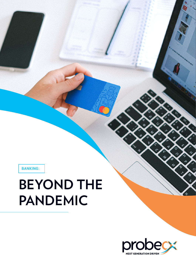BANKING:

# **BEYOND THE PANDEMIC**

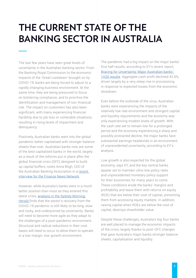### **THE CURRENT STATE OF THE BANKING SECTOR IN AUSTRALIA**

The last few years have seen great levels of uncertainty in the Australian banking sector. From the Banking Royal Commission to the economic impacts of the 'Great Lockdown' brought on by COVID-19, banks are being forced to adjust to a rapidly changing business environment. At the same time, they are being pressured to focus on bolstering compliance, and to prioritise the identification and management of non-financial risk. The impact on customers has also been significant, with many experiencing financial hardship due to job loss or vulnerable situations, resulting in rising levels of impairment and delinquency.

Positively, Australian banks went into the global pandemic better capitalised with stronger balance sheets than ever. Australian banks now are some of the best capitalised banks in the world, largely as a result of the reforms put in place after the global financial crisis (GFC) designed to build up capital buffers, notes Anna Bligh, CEO of the Australian Banking Association in a [recent](https://www.finnewsnetwork.com.au/archives/finance_news_network276528.html)  [interview for the Finance News Network](https://www.finnewsnetwork.com.au/archives/finance_news_network276528.html).

However, while Australia's banks were in a much better position than most as they entered this latest crisis, analysis in the Sydney Morning [Herald f](https://www.smh.com.au/business/banking-and-finance/new-normal-life-for-australia-s-banks-after-the-pandemic-won-t-be-pleasant-20200505-p54px3.html)inds that the sector's recovery from the COVID-19 pandemic is still likely to be long, slow and rocky, and underpinned by uncertainty. Banks will need to become more agile as they adapt to the challenges of a post-pandemic environment. Structural and radical reductions in their cost bases will need to occur to allow them to operate in a low-margin, low-growth environment.

The pandemic had a big impact on the major banks' first half results, according to EY's recent report, [Bracing for Uncertainty: Major Australian banks'](https://www.ey.com/en_au/economics/australian-banking-half-year-results-2020)  [1H20 results.](https://www.ey.com/en_au/economics/australian-banking-half-year-results-2020) Aggregate cash profit declined 42.6%, driven largely by a very steep rise in provisioning in response to expected losses from the economic slowdown.

Even before the outbreak of the virus, Australian banks were experiencing the impacts of the relatively low rate environment and stringent capital and liquidity requirements and the economy was only experiencing modest levels of growth. With the cash rate set to remain low for a prolonged period and the economy experiencing a sharp and possibly protracted decline, the major banks face substantial earnings headwinds in an environment of unprecedented uncertainty, according to EY's analysis.

Low growth is also expected for the global economy, says EY, and the key central banks appear set to maintain ultra-low policy rates and unprecedented monetary policy support for their economies for many years to come. These conditions erode the banks' margins and profitability and leave them with returns on equity (ROE) that are below their cost of capital, preventing them from accessing equity markets. In addition, raising capital when ROEs are below the cost of capital, destroys shareholder value.

Despite these challenges, Australia's big four banks are well placed to manage the economic impacts of the crisis, largely thanks to post-GFC changes that gave Australia's major banks stronger balance sheets, capitalisation and liquidity.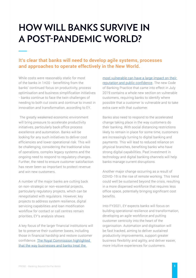### **HOW WILL BANKS SURVIVE IN A POST-PANDEMIC WORLD?**

### It's clear that banks will need to develop agile systems, processes and approaches to operate effectively in the New World.

While costs were reasonably static for most of the banks in 1H20 - benefitting from the banks' continued focus on productivity, process optimisation and business simplification initiatives - banks continue to face the twin challenges of needing to both cut costs and continue to invest in innovation and transformation, according to EY.

 The greatly weakened economic environment will bring pressure to accelerate productivity initiatives, particularly back office process excellence and automation. Banks will be looking for any such initiatives to deliver cost efficiencies and lower operational risk. This will be challenging, considering the traditional silos of operations, complex legacy systems and the ongoing need to respond to regulatory changes. Further, the need to ensure customer satisfaction has never been so important to protect revenue and win new customers.

A number of the major banks are cutting back on non-strategic or non-essential projects, particularly regulatory projects, which can be renegotiated with regulators. However, key projects to address system resilience, digital servicing capabilities and loan modification workflow for contact or call centres remain priorities, EY's analysis shows.

A key focus of the larger financial institutions will be to preserve their customer bases, including those in financial hardship and restore customer confidence. [The Royal Commission highlighted](https://www.finnewsnetwork.com.au/archives/finance_news_network276528.html)  [that the way businesses and banks treat the](https://www.finnewsnetwork.com.au/archives/finance_news_network276528.html) 

most vulnerable can have a large impact on their [reputation and public confidence](https://www.finnewsnetwork.com.au/archives/finance_news_network276528.html). The new Code of Banking Practice that came into effect in July 2019 contains a whole new section on vulnerable customers, requiring banks to identify where possible that a customer is vulnerable and to take extra care with that customer.

Banks also need to respond to the accelerated change taking place in the way customers do their banking. With social distancing restrictions likely to remain in place for some time, customers are increasingly turning to digital banking and payments. This will lead to reduced reliance on physical branches, benefiting banks who have strong digital capabilities. Past investment in technology and digital banking channels will help banks manage current disruptions.

Another major change occurring as a result of COVID-19 is the rise of remote working. This trend could well be sustained beyond the crisis, resulting in a more dispersed workforce that requires less office space, potentially bringing significant cost benefits.

Into FY2021, EY expects banks will focus on building operational resilience and transformation, developing an agile workforce and putting customer centricity into the heart of the organisation. Automation and digitisation will be fast tracked, aiming to deliver sustained productivity improvements, support greater business flexibility and agility, and deliver easier, more intuitive experiences for customers.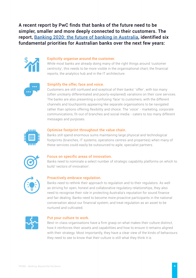A recent report by PwC finds that banks of the future need to be simpler, smaller and more deeply connected to their customers. The report, [Banking 2020: the future of banking in Australia](https://www.pwc.com.au/pdf/pwc_mba_hy16_hot-topic.pdf), identified six fundamental priorities for Australian banks over the next few years:



#### Explicitly organise around the customer.

While most banks are already doing many of the right things around 'customer centricity', this needs to be more visible in the organisational chart, the financial reports, the analytics hub and in the IT architecture.



#### Simplify the offer, face and voice.

Customers are still confused and sceptical of their banks' 'offer', with too many (often unclearly differentiated and poorly-explained) variations on their core services. The banks are also presenting a confusing 'face' to customers, with the different channels and touchpoints appearing like separate organisations to be navigated rather than options offering flexibility and choice. The 'voice' - marketing, corporate communications, fit-out of branches and social media - caters to too many different messages and purposes.



#### Optimise footprint throughout the value chain.

Banks still spend enormous sums maintaining large physical and technological footprints (branches, IT systems, operations centres and properties) when many of these services could easily be outsourced to agile, specialist partners.



#### Focus on specific areas of innovation.

Banks need to nominate a select number of strategic capability platforms on which to build 'vectors of innovation'.



#### Proactively embrace regulation.

Banks need to rethink their approach to regulation and to their regulators. As well as striving for open, honest and collaborative regulatory relationships, they also need to recognise their role in protecting Australia's reputation for sound finance and fair dealing. Banks need to become more proactive participants in the national conversation about our financial system, and treat regulation as an asset to be nurtured and cultivated.



#### Put your culture to work.

Best-in-class organisations have a firm grasp on what makes their culture distinct, how it reinforces their assets and capabilities and how to ensure it remains aligned with their strategy. Most importantly, they have a clear view of the kinds of behaviours they need to see to know that their culture is still what they think it is.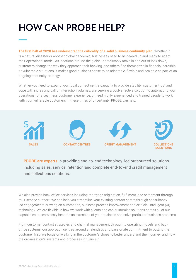## **HOW CAN PROBE HELP?**

**The first half of 2020 has underscored the criticality of a solid business continuity plan.** Whether it is a natural disaster or another global pandemic, businesses need to be geared up and ready to adapt their operational model. As locations around the globe unpredictably move in and out of lock down, customers change the way they approach their banking, and others find themselves in financial hardship or vulnerable situations, it makes good business sense to be adaptable, flexible and scalable as part of an ongoing continuity strategy.

Whether you need to expand your local contact centre capacity to provide stability, customer trust and cope with increasing call or interaction volumes, are seeking a cost-effective solution to automating your operations for a seamless customer experience, or need highly experienced and trained people to work with your vulnerable customers in these times of uncertainty, PROBE can help.



**PROBE are experts** in providing end-to-end technology-led outsourced solutions including sales, service, retention and complete end-to-end credit management and collections solutions.

We also provide back office services including mortgage origination, fulfilment, and settlement through to IT service support. We can help you streamline your existing contact centre through consultancy led engagements drawing on automation, business process improvement and artificial intelligent (AI) technology. We are flexible in how we work with clients and can customise solutions across all of our capabilities to seamlessly become an extension of your business and solve particular business problems.

From customer contact strategies and channel management through to operating models and back office systems, our approach centres around a relentless and passionate commitment to putting the customer first. We focus on walking in the customer's shoes to better understand their journey, and how the organisation's systems and processes influence it.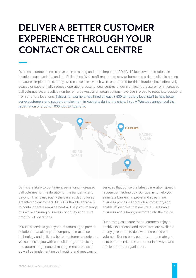### **DELIVER A BETTER CUSTOMER EXPERIENCE THROUGH YOUR CONTACT OR CALL CENTRE**

Overseas contact centres have been straining under the impact of COVID-19 lockdown restrictions in locations such as India and the Philippines. With staff required to stay at home and strict social distancing measures implemented, many overseas centres, which were unprepared for this situation, have effectively ceased or substantially reduced operations, putting local centres under significant pressure from increased call volumes. As a result, a number of large Australian organisations have been forced to repatriate positions from offshore locations. [Telstra, for example, has hired at least 3,500 temporary local staff to help better](https://www.arnnet.com.au/article/672608/telstra-adds-2-500-more-roles-temp-workforce-amid-covid-19-disruption/)  [serve customers and support employment in Australia during the crisis](https://www.arnnet.com.au/article/672608/telstra-adds-2-500-more-roles-temp-workforce-amid-covid-19-disruption/). In July, Westpac announced the [repatriation of around 1000 jobs to Australia](https://www.westpac.com.au/news/making-news/2020/07/bringing-1000-jobs-back-to-australia/).



Banks are likely to continue experiencing increased call volumes for the duration of the pandemic and beyond. This is especially the case as debt pauses are lifted on customers. PROBE's flexible approach to contact centre management will help you manage this while ensuring business continuity and future proofing of operations.

PROBE's services go beyond outsourcing to provide solutions that allow your company to maximise technology and deliver a better customer experience. We can assist you with consolidating, centralising and automating financial management processes as well as implementing call routing and messaging

services that utilise the latest generation speech recognition technology. Our goal is to help you eliminate barriers, improve and streamline business processes through automation, and enable efficiencies that ensure a sustainable business and a happy customer into the future.

Our strategies ensure that customers enjoy a positive experience and more staff are available at any given time to deal with increased call volumes. During busy periods, our ultimate goal is to better service the customer in a way that's efficient for the organisation.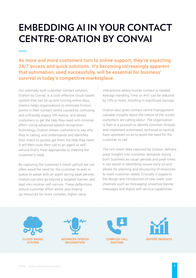### **EMBEDDING AI IN YOUR CONTACT CENTRE-ORATION BY CONVAI**

As more and more customers turn to online support, they're expecting 24/7 access and quick solutions. It's becoming increasingly apparent that automation, used successfully, will be essential for business' survival in today's competitive marketplace.

Our internally built customer contact solution, Oration by Convai, is a cost-effective cloud-based system that can be up and running within days. Oration helps organisations to eliminate friction points in their contact centre caused by confusing and unfriendly legacy IVR menus, and allows customers to get the help they need with minimal effort. Using advanced speech recognition technology, Oration allows customers to say why they're calling, and understands and identifies their intent to quickly get them the help they need. It will then route their call to an agent or selfservice that's most appropriate to meeting the customer's need.

By capturing the customer's intent upfront we can often avoid the need for the customer to wait in queue to speak with an agent during peak periods. Oration can also go beyond a targeted banner, and lead into intuitive self-service. These deflections reduce customer effort whilst also freeing up resources for more complex, higher value

interactions where human contact is needed. Average Handling Time, or AHT can be reduced by 10% or more, resulting in significant savings.

Oration also gives contact centre management valuable insights about the nature of the issues customers are calling about. The organisation is then in a position to identify common threads and implement automated, technical or tactical fixes upstream so as to avoid the need for the customer to call.

The rich intent data captured by Oration, delivers great insights into customer demands during both 'business as usual' periods and peak times. It can assist in identifying issues early on and allows for planning and structuring of resources to meet customer needs. Crucially it supports the design and introduction of new lower cost channels such as messaging, proactive banner messages and digital self-service capabilities.





**ADVANCED SPEECH RECOGNITION**



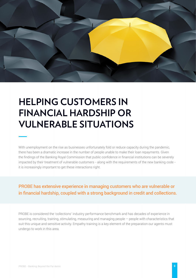

### **HELPING CUSTOMERS IN FINANCIAL HARDSHIP OR VULNERABLE SITUATIONS**

With unemployment on the rise as businesses unfortunately fold or reduce capacity during the pandemic, there has been a dramatic increase in the number of people unable to make their loan repayments. Given the findings of the Banking Royal Commission that public confidence in financial institutions can be severely impacted by their treatment of vulnerable customers - along with the requirements of the new banking code it is increasingly important to get these interactions right.

PROBE has extensive experience in managing customers who are vulnerable or in financial hardship, coupled with a strong background in credit and collections.

PROBE is considered the 'collections' industry performance benchmark and has decades of experience in sourcing, recruiting, training, stimulating, measuring and managing people – people with characteristics that suit this unique and sensitive activity. Empathy training is a key element of the preparation our agents must undergo to work in this area.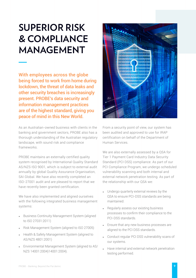## **SUPERIOR RISK & COMPLIANCE MANAGEMENT**

With employees across the globe being forced to work from home during lockdown, the threat of data leaks and other security breaches is increasingly present. PROBE's data security and information management practices are of the highest standard, giving you peace of mind in this New World.

As an Australian-owned business with clients in the banking and government sectors, PROBE also has a thorough understanding of the Australian regulatory landscape, with sound risk and compliance frameworks.

PROBE maintains an externally certified quality system recognised by International Quality Standard AS/NZS ISO 9001, which is subject to external audit annually by global Quality Assurance Organisation, SAI Global. We have also recently completed an ISO-27001 audit and are pleased to report that we have recently been granted certification.

We have also implemented and aligned ourselves with the following integrated business management systems:

- **Business Continuity Management System (aligned** to ISO 27031:2011)
- Risk Management System (aligned to ISO 27005)
- Health & Safety Management System (aligned to AS/NZS 4801:2001)
- Environmental Management System (aligned to AS/ NZS 14001:2004)14001:2004).



From a security point of view, our system has been audited and approved to use for IRAP certification on behalf of the Department of Human Services.

We are also externally assessed by a QSA for Tier 1 Payment Card Industry Data Security Standard (PCI DSS) compliance. As part of our PCI Compliance Program, we undergo scheduled vulnerability scanning and both internal and external network penetration testing. As part of the relationship with our QSA we:

- Undergo quarterly external reviews by the QSA to ensure PCI-DSS standards are being maintained.
- Regularly assess our existing business processes to confirm their compliance to the PCI-DSS standards.
- Ensure that any new business processes are aligned to the PCI DSS standards.
- Conduct regular PCI DSS vulnerability scans of our systems.
- Have internal and external network penetration testing performed.